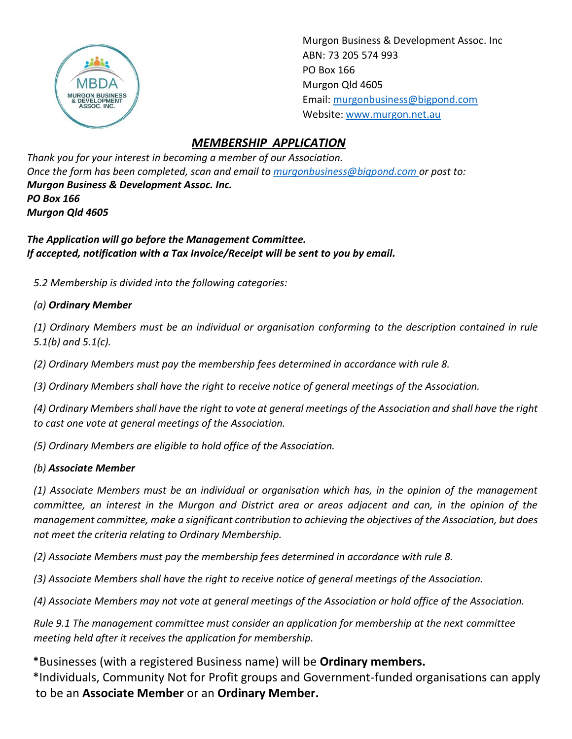

Murgon Business & Development Assoc. Inc ABN: 73 205 574 993 PO Box 166 Murgon Qld 4605 Email[: murgonbusiness@bigpond.com](mailto:murgonbusiness@bigpond.com) Website: [www.murgon.net.au](http://www.murgon.net.au/)

## *MEMBERSHIP APPLICATION*

*Thank you for your interest in becoming a member of our Association. Once the form has been completed, scan and email to [murgonbusiness@bigpond.com](mailto:murgonbusiness@bigpond.com) or post to: Murgon Business & Development Assoc. Inc. PO Box 166 Murgon Qld 4605*

*The Application will go before the Management Committee. If accepted, notification with a Tax Invoice/Receipt will be sent to you by email.*

*5.2 Membership is divided into the following categories:*

#### *(a) Ordinary Member*

*(1) Ordinary Members must be an individual or organisation conforming to the description contained in rule 5.1(b) and 5.1(c).*

*(2) Ordinary Members must pay the membership fees determined in accordance with rule 8.*

*(3) Ordinary Members shall have the right to receive notice of general meetings of the Association.*

*(4) Ordinary Members shall have the right to vote at general meetings of the Association and shall have the right to cast one vote at general meetings of the Association.*

*(5) Ordinary Members are eligible to hold office of the Association.* 

#### *(b) Associate Member*

*(1) Associate Members must be an individual or organisation which has, in the opinion of the management committee, an interest in the Murgon and District area or areas adjacent and can, in the opinion of the management committee, make a significant contribution to achieving the objectives of the Association, but does not meet the criteria relating to Ordinary Membership.*

*(2) Associate Members must pay the membership fees determined in accordance with rule 8.*

*(3) Associate Members shall have the right to receive notice of general meetings of the Association.*

*(4) Associate Members may not vote at general meetings of the Association or hold office of the Association.*

*Rule 9.1 The management committee must consider an application for membership at the next committee meeting held after it receives the application for membership.*

 \*Businesses (with a registered Business name) will be **Ordinary members.** \*Individuals, Community Not for Profit groups and Government-funded organisations can apply to be an **Associate Member** or an **Ordinary Member.**